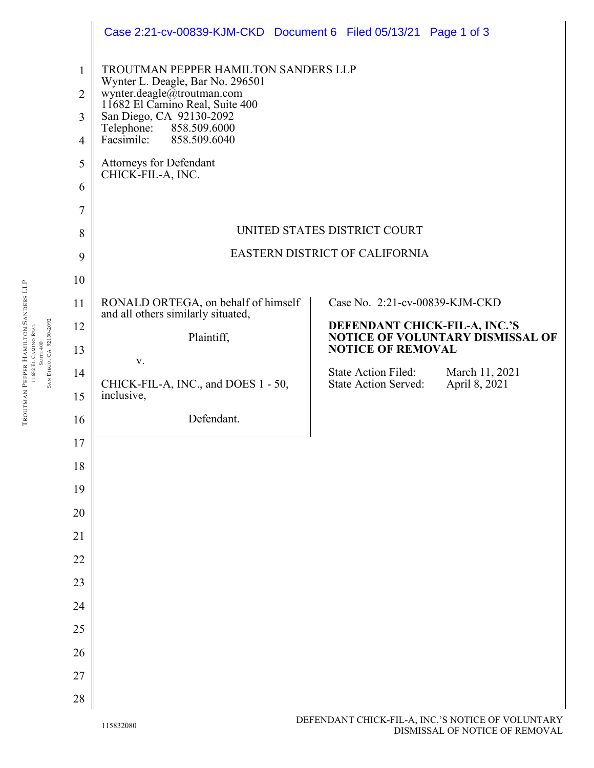|                | Case 2:21-cv-00839-KJM-CKD Document 6 Filed 05/13/21 Page 1 of 3                                                                          |                                                                                              |  |
|----------------|-------------------------------------------------------------------------------------------------------------------------------------------|----------------------------------------------------------------------------------------------|--|
| $\mathbf{1}$   | TROUTMAN PEPPER HAMILTON SANDERS LLP<br>Wynter L. Deagle, Bar No. 296501<br>wynter.deagle@troutman.com<br>11682 El Camino Real, Suite 400 |                                                                                              |  |
| $\overline{2}$ |                                                                                                                                           |                                                                                              |  |
| 3              | San Diego, CA 92130-2092<br>Telephone: 858.509.6000                                                                                       |                                                                                              |  |
| $\overline{4}$ | Facsimile:<br>858.509.6040                                                                                                                |                                                                                              |  |
| 5              | Attorneys for Defendant<br>CHICK-FIL-A, INC.                                                                                              |                                                                                              |  |
| 6              |                                                                                                                                           |                                                                                              |  |
| $\overline{7}$ |                                                                                                                                           |                                                                                              |  |
| 8              | UNITED STATES DISTRICT COURT                                                                                                              |                                                                                              |  |
| 9              |                                                                                                                                           | EASTERN DISTRICT OF CALIFORNIA                                                               |  |
| 10             |                                                                                                                                           |                                                                                              |  |
| 11             | RONALD ORTEGA, on behalf of himself<br>and all others similarly situated,                                                                 | Case No. 2:21-cv-00839-KJM-CKD                                                               |  |
| 12             | Plaintiff,                                                                                                                                | DEFENDANT CHICK-FIL-A, INC.'S<br><b>NOTICE OF VOLUNTARY DISMISSAL OF</b>                     |  |
| 13             | V.                                                                                                                                        | <b>NOTICE OF REMOVAL</b>                                                                     |  |
| 14             | CHICK-FIL-A, INC., and DOES 1 - 50,                                                                                                       | <b>State Action Filed:</b><br>March 11, 2021<br><b>State Action Served:</b><br>April 8, 2021 |  |
| 15             | inclusive,                                                                                                                                |                                                                                              |  |
| 16             | Defendant.                                                                                                                                |                                                                                              |  |
| 17             |                                                                                                                                           |                                                                                              |  |
| 18             |                                                                                                                                           |                                                                                              |  |
| 19             |                                                                                                                                           |                                                                                              |  |
| 20             |                                                                                                                                           |                                                                                              |  |
| 21             |                                                                                                                                           |                                                                                              |  |
| 22             |                                                                                                                                           |                                                                                              |  |
| 23             |                                                                                                                                           |                                                                                              |  |
| 24             |                                                                                                                                           |                                                                                              |  |
| 25             |                                                                                                                                           |                                                                                              |  |
| 26             |                                                                                                                                           |                                                                                              |  |
| 27             |                                                                                                                                           |                                                                                              |  |
| 28             |                                                                                                                                           |                                                                                              |  |

TROUTMAN PEPPER HAMILTON SANDERS LLP 11682 EL CAMINO REAL TROUTMAN PEPPER HAMILTON SANDERS LLP<br>11682 EL CAMINO REAL<br>SUITE 400<br>SAN DIEGO, CA 92130-2092 SAN DIEGO, CA 92130-2092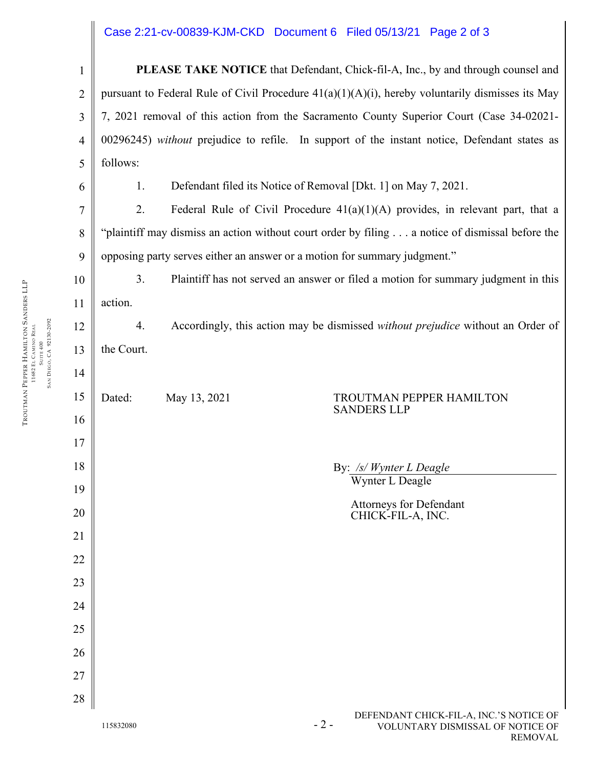## Case 2:21-cv-00839-KJM-CKD Document 6 Filed 05/13/21 Page 2 of 3

1 2 3 4 5 **PLEASE TAKE NOTICE** that Defendant, Chick-fil-A, Inc., by and through counsel and pursuant to Federal Rule of Civil Procedure  $41(a)(1)(A)(i)$ , hereby voluntarily dismisses its May 7, 2021 removal of this action from the Sacramento County Superior Court (Case 34-02021- 00296245) *without* prejudice to refile. In support of the instant notice, Defendant states as follows:

1. Defendant filed its Notice of Removal [Dkt. 1] on May 7, 2021.

2. Federal Rule of Civil Procedure  $41(a)(1)(A)$  provides, in relevant part, that a "plaintiff may dismiss an action without court order by filing . . . a notice of dismissal before the opposing party serves either an answer or a motion for summary judgment."

10 3. Plaintiff has not served an answer or filed a motion for summary judgment in this action.

4. Accordingly, this action may be dismissed *without prejudice* without an Order of the Court.

## Dated: May 13, 2021 TROUTMAN PEPPER HAMILTON SANDERS LLP

By: */s/ Wynter L Deagle* Wynter L Deagle

> Attorneys for Defendant CHICK-FIL-A, INC.

6

7

8

9

11

12

13

14

15

16

17

18

19

20

21

22

23

24

25

26

27

28